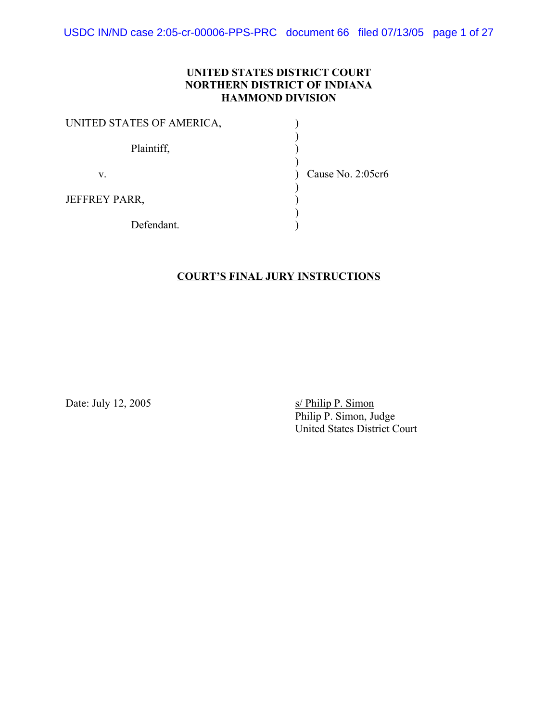USDC IN/ND case 2:05-cr-00006-PPS-PRC document 66 filed 07/13/05 page 1 of 27

#### **UNITED STATES DISTRICT COURT NORTHERN DISTRICT OF INDIANA HAMMOND DIVISION**

| UNITED STATES OF AMERICA, |                   |
|---------------------------|-------------------|
| Plaintiff,                |                   |
| V.                        | Cause No. 2:05cr6 |
| <b>JEFFREY PARR,</b>      |                   |
| Defendant.                |                   |

#### **COURT'S FINAL JURY INSTRUCTIONS**

Date: July 12, 2005 s/ Philip P. Simon Philip P. Simon, Judge United States District Court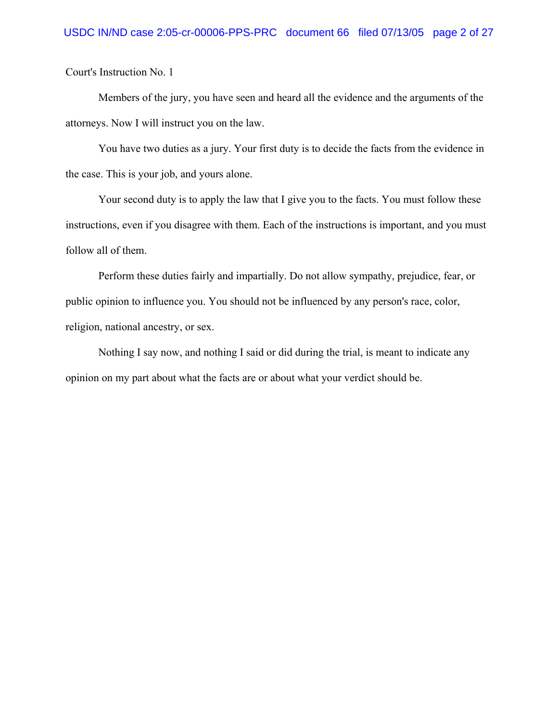Members of the jury, you have seen and heard all the evidence and the arguments of the attorneys. Now I will instruct you on the law.

You have two duties as a jury. Your first duty is to decide the facts from the evidence in the case. This is your job, and yours alone.

Your second duty is to apply the law that I give you to the facts. You must follow these instructions, even if you disagree with them. Each of the instructions is important, and you must follow all of them.

Perform these duties fairly and impartially. Do not allow sympathy, prejudice, fear, or public opinion to influence you. You should not be influenced by any person's race, color, religion, national ancestry, or sex.

Nothing I say now, and nothing I said or did during the trial, is meant to indicate any opinion on my part about what the facts are or about what your verdict should be.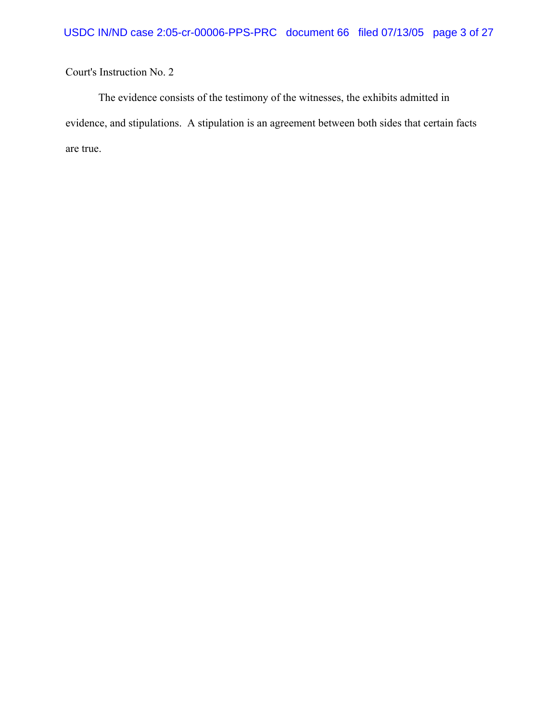The evidence consists of the testimony of the witnesses, the exhibits admitted in evidence, and stipulations. A stipulation is an agreement between both sides that certain facts are true.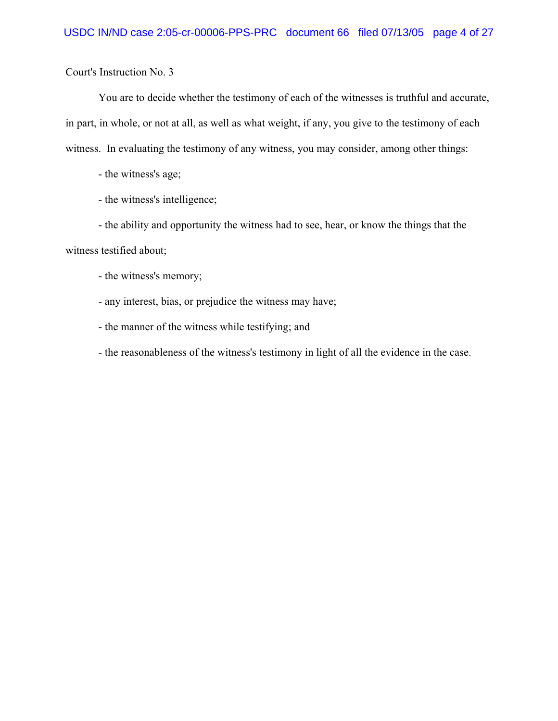You are to decide whether the testimony of each of the witnesses is truthful and accurate, in part, in whole, or not at all, as well as what weight, if any, you give to the testimony of each witness. In evaluating the testimony of any witness, you may consider, among other things:

- the witness's age;

- the witness's intelligence;

- the ability and opportunity the witness had to see, hear, or know the things that the witness testified about;

- the witness's memory;
- any interest, bias, or prejudice the witness may have;
- the manner of the witness while testifying; and
- the reasonableness of the witness's testimony in light of all the evidence in the case.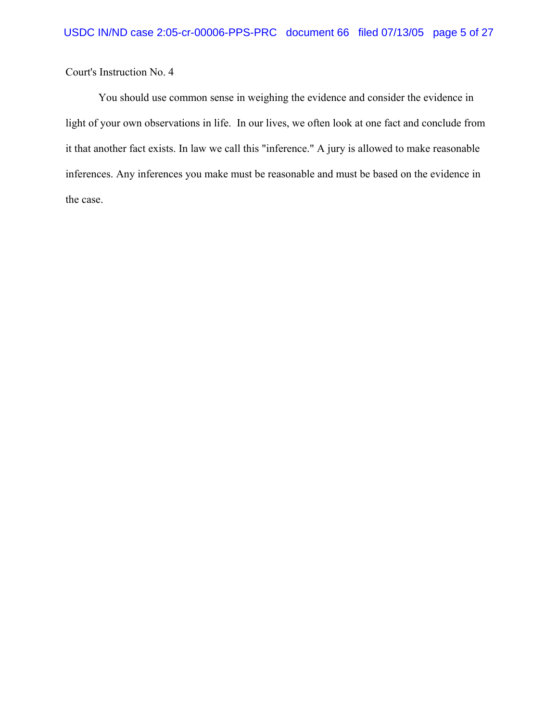You should use common sense in weighing the evidence and consider the evidence in light of your own observations in life. In our lives, we often look at one fact and conclude from it that another fact exists. In law we call this "inference." A jury is allowed to make reasonable inferences. Any inferences you make must be reasonable and must be based on the evidence in the case.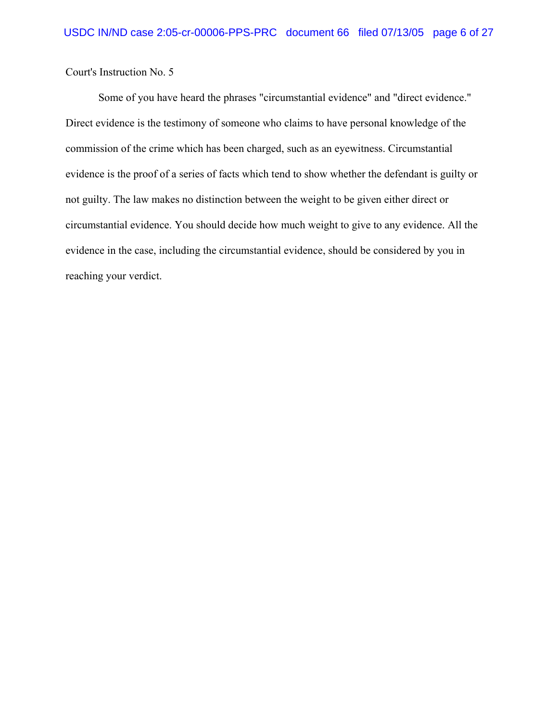Some of you have heard the phrases "circumstantial evidence" and "direct evidence." Direct evidence is the testimony of someone who claims to have personal knowledge of the commission of the crime which has been charged, such as an eyewitness. Circumstantial evidence is the proof of a series of facts which tend to show whether the defendant is guilty or not guilty. The law makes no distinction between the weight to be given either direct or circumstantial evidence. You should decide how much weight to give to any evidence. All the evidence in the case, including the circumstantial evidence, should be considered by you in reaching your verdict.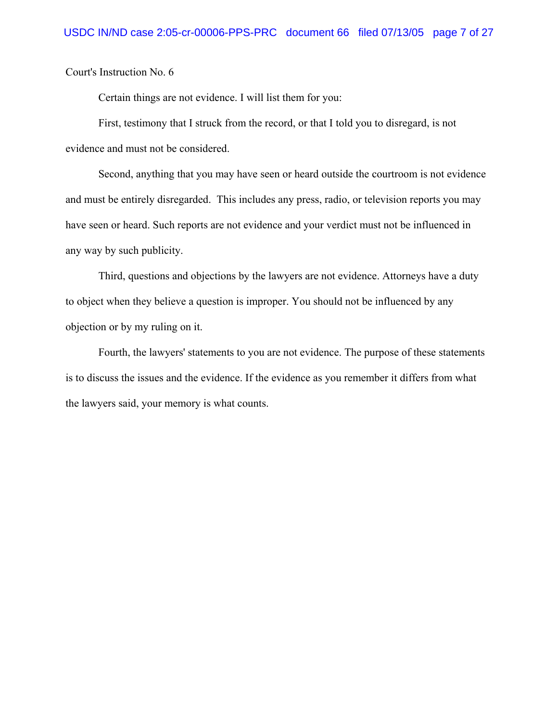Certain things are not evidence. I will list them for you:

First, testimony that I struck from the record, or that I told you to disregard, is not evidence and must not be considered.

Second, anything that you may have seen or heard outside the courtroom is not evidence and must be entirely disregarded. This includes any press, radio, or television reports you may have seen or heard. Such reports are not evidence and your verdict must not be influenced in any way by such publicity.

Third, questions and objections by the lawyers are not evidence. Attorneys have a duty to object when they believe a question is improper. You should not be influenced by any objection or by my ruling on it.

Fourth, the lawyers' statements to you are not evidence. The purpose of these statements is to discuss the issues and the evidence. If the evidence as you remember it differs from what the lawyers said, your memory is what counts.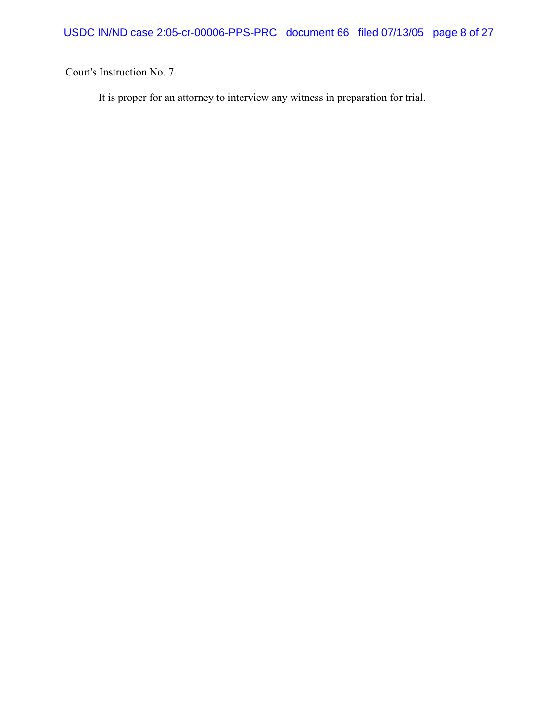It is proper for an attorney to interview any witness in preparation for trial.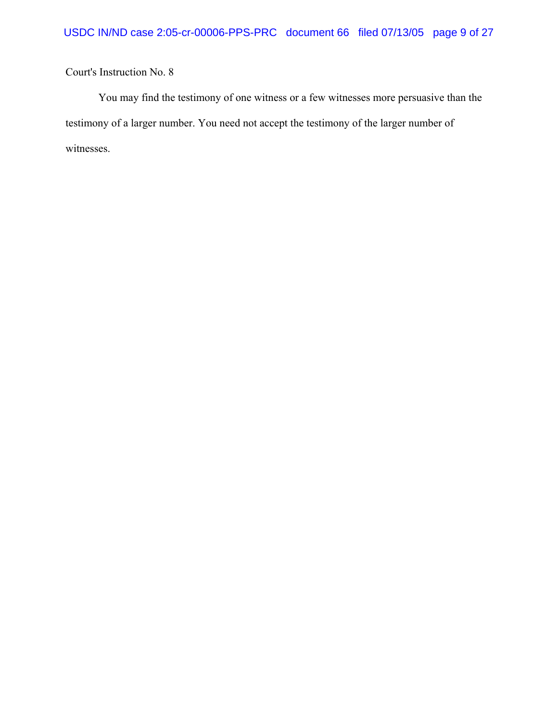You may find the testimony of one witness or a few witnesses more persuasive than the testimony of a larger number. You need not accept the testimony of the larger number of witnesses.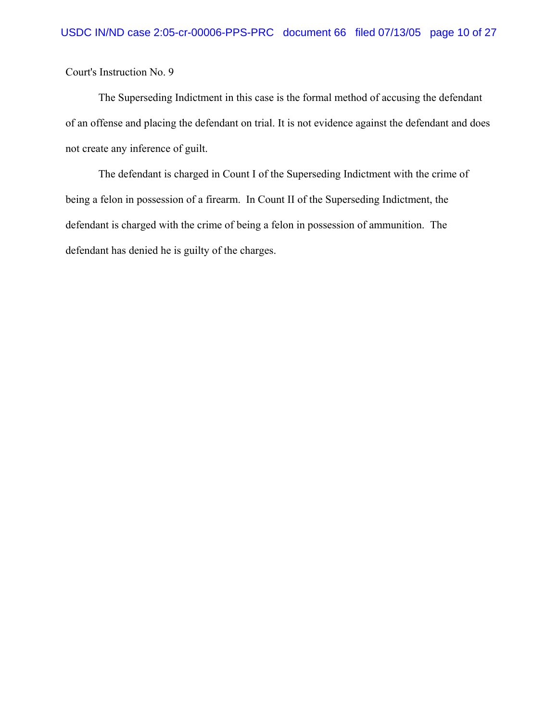The Superseding Indictment in this case is the formal method of accusing the defendant of an offense and placing the defendant on trial. It is not evidence against the defendant and does not create any inference of guilt.

The defendant is charged in Count I of the Superseding Indictment with the crime of being a felon in possession of a firearm. In Count II of the Superseding Indictment, the defendant is charged with the crime of being a felon in possession of ammunition. The defendant has denied he is guilty of the charges.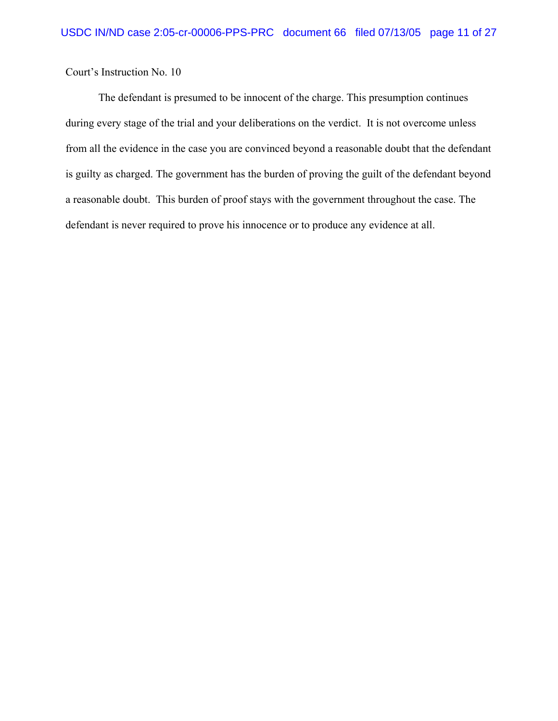The defendant is presumed to be innocent of the charge. This presumption continues during every stage of the trial and your deliberations on the verdict. It is not overcome unless from all the evidence in the case you are convinced beyond a reasonable doubt that the defendant is guilty as charged. The government has the burden of proving the guilt of the defendant beyond a reasonable doubt. This burden of proof stays with the government throughout the case. The defendant is never required to prove his innocence or to produce any evidence at all.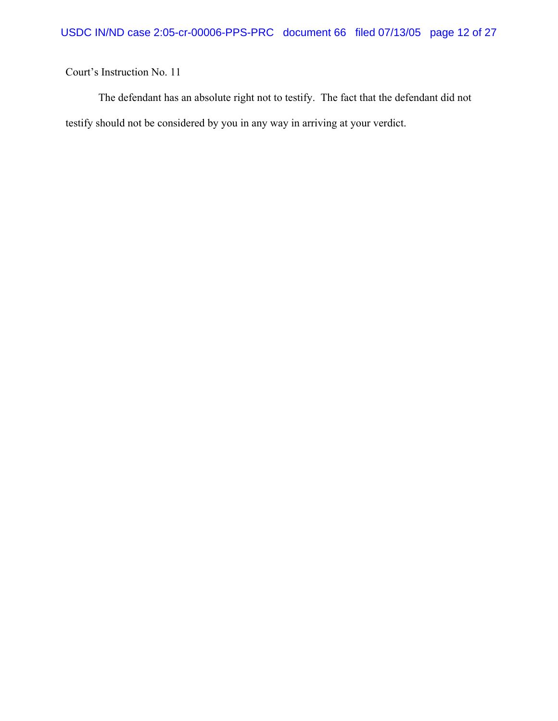The defendant has an absolute right not to testify. The fact that the defendant did not testify should not be considered by you in any way in arriving at your verdict.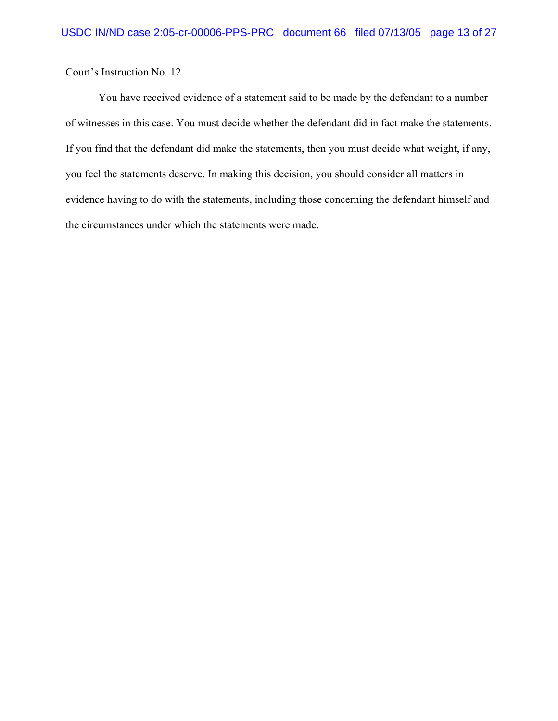You have received evidence of a statement said to be made by the defendant to a number of witnesses in this case. You must decide whether the defendant did in fact make the statements. If you find that the defendant did make the statements, then you must decide what weight, if any, you feel the statements deserve. In making this decision, you should consider all matters in evidence having to do with the statements, including those concerning the defendant himself and the circumstances under which the statements were made.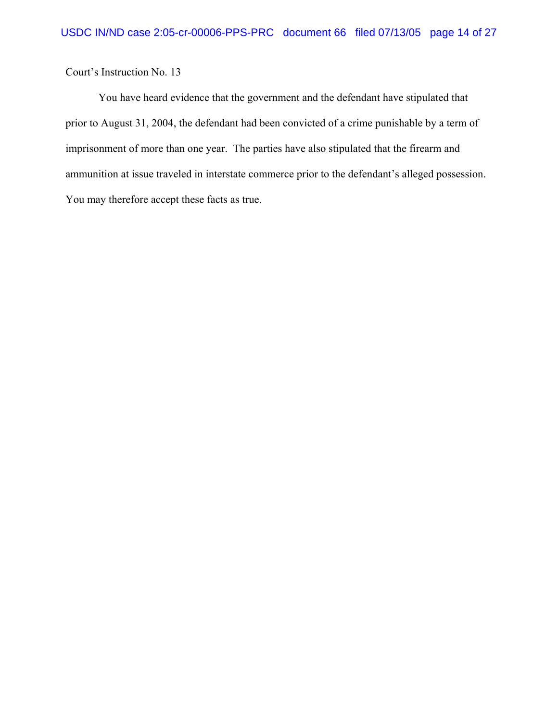You have heard evidence that the government and the defendant have stipulated that prior to August 31, 2004, the defendant had been convicted of a crime punishable by a term of imprisonment of more than one year. The parties have also stipulated that the firearm and ammunition at issue traveled in interstate commerce prior to the defendant's alleged possession. You may therefore accept these facts as true.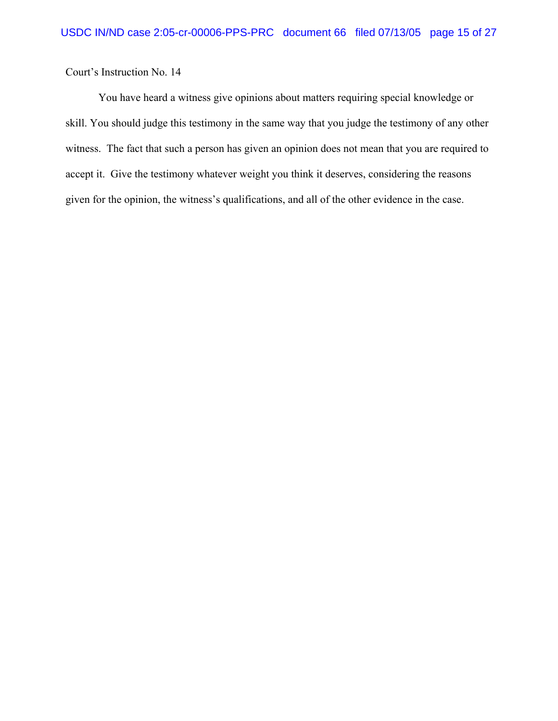You have heard a witness give opinions about matters requiring special knowledge or skill. You should judge this testimony in the same way that you judge the testimony of any other witness. The fact that such a person has given an opinion does not mean that you are required to accept it. Give the testimony whatever weight you think it deserves, considering the reasons given for the opinion, the witness's qualifications, and all of the other evidence in the case.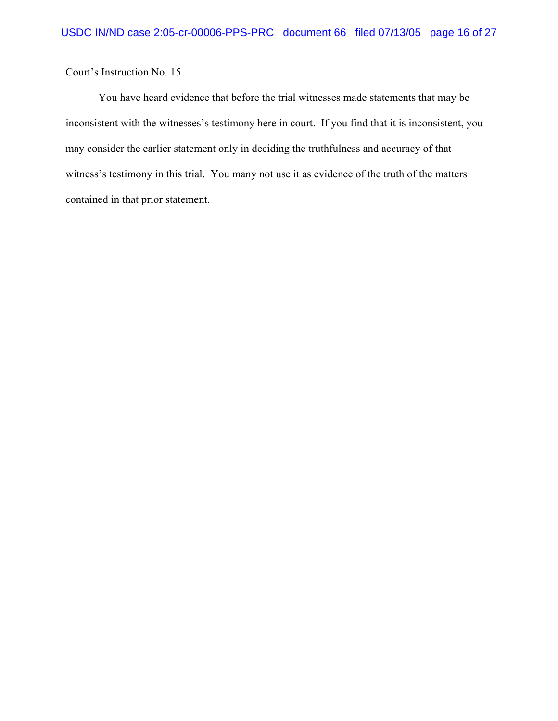You have heard evidence that before the trial witnesses made statements that may be inconsistent with the witnesses's testimony here in court. If you find that it is inconsistent, you may consider the earlier statement only in deciding the truthfulness and accuracy of that witness's testimony in this trial. You many not use it as evidence of the truth of the matters contained in that prior statement.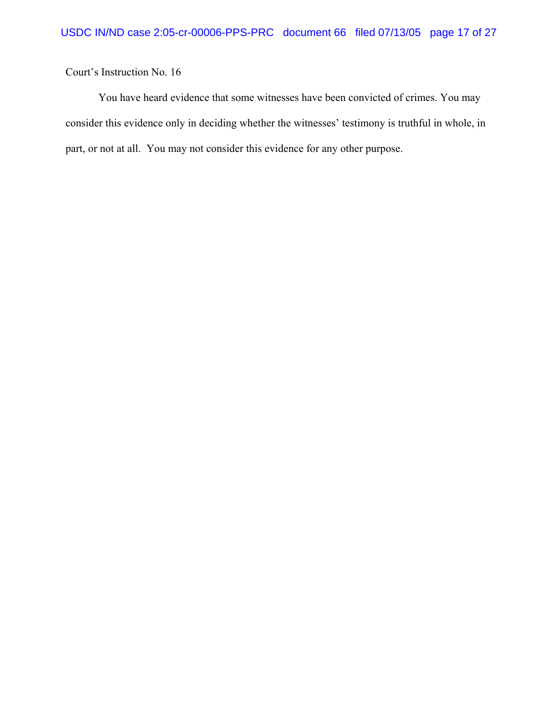You have heard evidence that some witnesses have been convicted of crimes. You may consider this evidence only in deciding whether the witnesses' testimony is truthful in whole, in part, or not at all. You may not consider this evidence for any other purpose.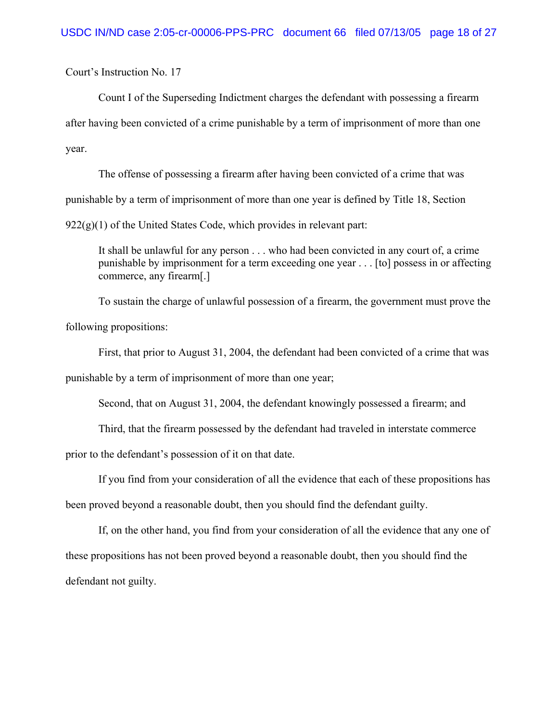Count I of the Superseding Indictment charges the defendant with possessing a firearm after having been convicted of a crime punishable by a term of imprisonment of more than one year.

The offense of possessing a firearm after having been convicted of a crime that was punishable by a term of imprisonment of more than one year is defined by Title 18, Section  $922(g)(1)$  of the United States Code, which provides in relevant part:

It shall be unlawful for any person . . . who had been convicted in any court of, a crime punishable by imprisonment for a term exceeding one year . . . [to] possess in or affecting commerce, any firearm[.]

To sustain the charge of unlawful possession of a firearm, the government must prove the following propositions:

First, that prior to August 31, 2004, the defendant had been convicted of a crime that was

punishable by a term of imprisonment of more than one year;

Second, that on August 31, 2004, the defendant knowingly possessed a firearm; and

Third, that the firearm possessed by the defendant had traveled in interstate commerce

prior to the defendant's possession of it on that date.

If you find from your consideration of all the evidence that each of these propositions has been proved beyond a reasonable doubt, then you should find the defendant guilty.

If, on the other hand, you find from your consideration of all the evidence that any one of these propositions has not been proved beyond a reasonable doubt, then you should find the defendant not guilty.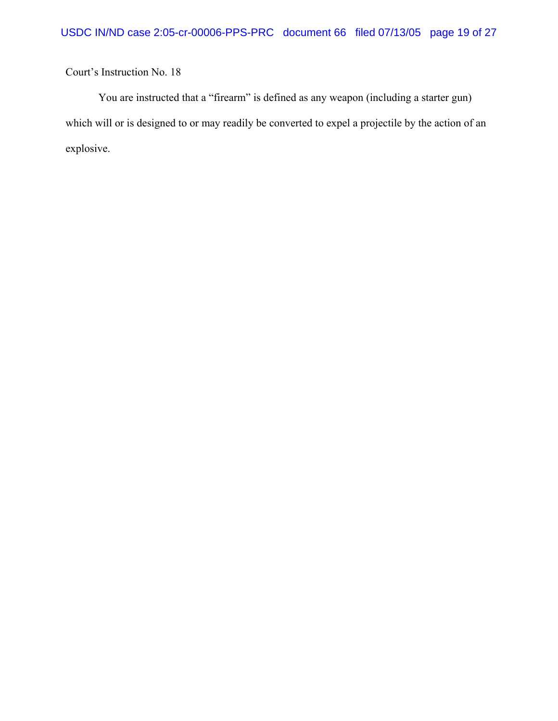You are instructed that a "firearm" is defined as any weapon (including a starter gun) which will or is designed to or may readily be converted to expel a projectile by the action of an explosive.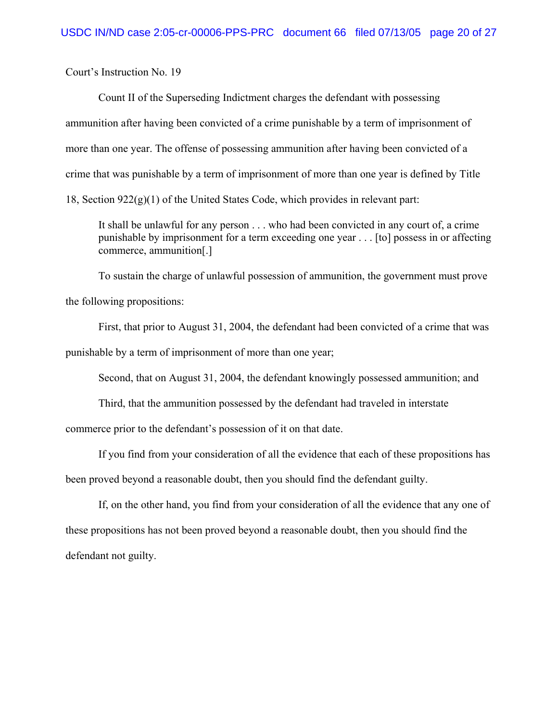Count II of the Superseding Indictment charges the defendant with possessing ammunition after having been convicted of a crime punishable by a term of imprisonment of more than one year. The offense of possessing ammunition after having been convicted of a crime that was punishable by a term of imprisonment of more than one year is defined by Title 18, Section  $922(g)(1)$  of the United States Code, which provides in relevant part:

It shall be unlawful for any person . . . who had been convicted in any court of, a crime punishable by imprisonment for a term exceeding one year . . . [to] possess in or affecting commerce, ammunition[.]

To sustain the charge of unlawful possession of ammunition, the government must prove the following propositions:

First, that prior to August 31, 2004, the defendant had been convicted of a crime that was punishable by a term of imprisonment of more than one year;

Second, that on August 31, 2004, the defendant knowingly possessed ammunition; and

Third, that the ammunition possessed by the defendant had traveled in interstate

commerce prior to the defendant's possession of it on that date.

If you find from your consideration of all the evidence that each of these propositions has

been proved beyond a reasonable doubt, then you should find the defendant guilty.

If, on the other hand, you find from your consideration of all the evidence that any one of these propositions has not been proved beyond a reasonable doubt, then you should find the defendant not guilty.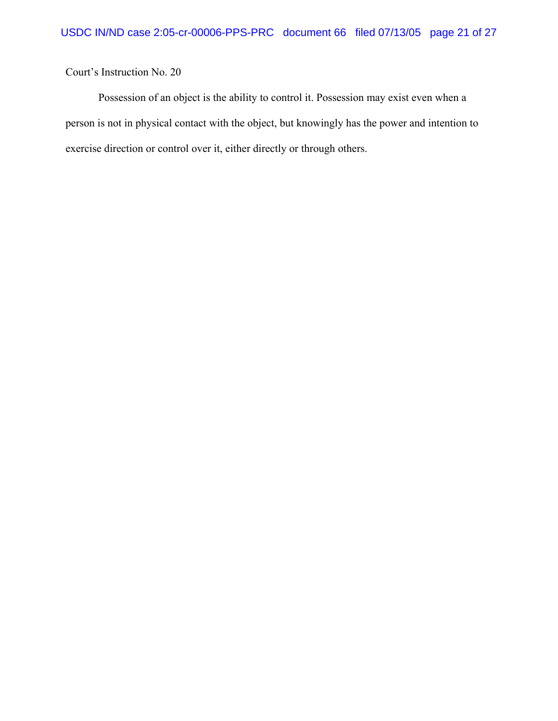Possession of an object is the ability to control it. Possession may exist even when a person is not in physical contact with the object, but knowingly has the power and intention to exercise direction or control over it, either directly or through others.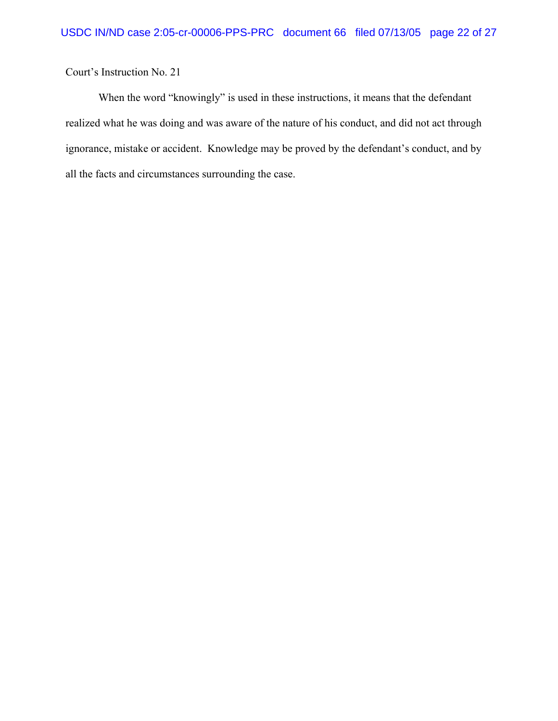When the word "knowingly" is used in these instructions, it means that the defendant realized what he was doing and was aware of the nature of his conduct, and did not act through ignorance, mistake or accident. Knowledge may be proved by the defendant's conduct, and by all the facts and circumstances surrounding the case.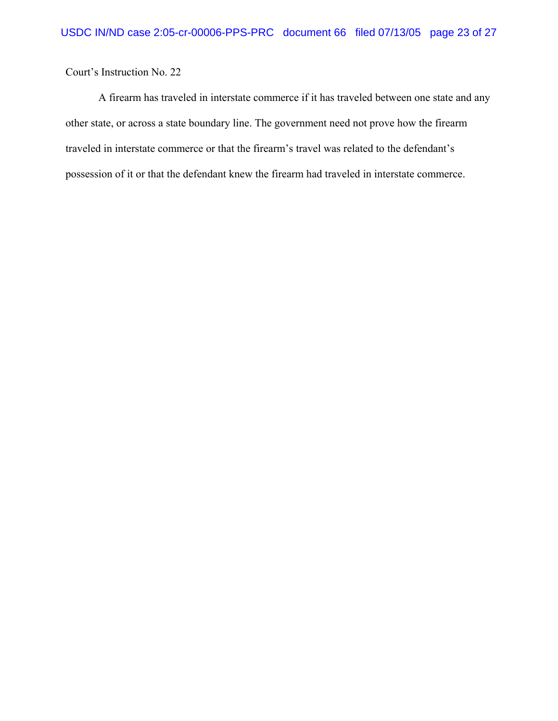A firearm has traveled in interstate commerce if it has traveled between one state and any other state, or across a state boundary line. The government need not prove how the firearm traveled in interstate commerce or that the firearm's travel was related to the defendant's possession of it or that the defendant knew the firearm had traveled in interstate commerce.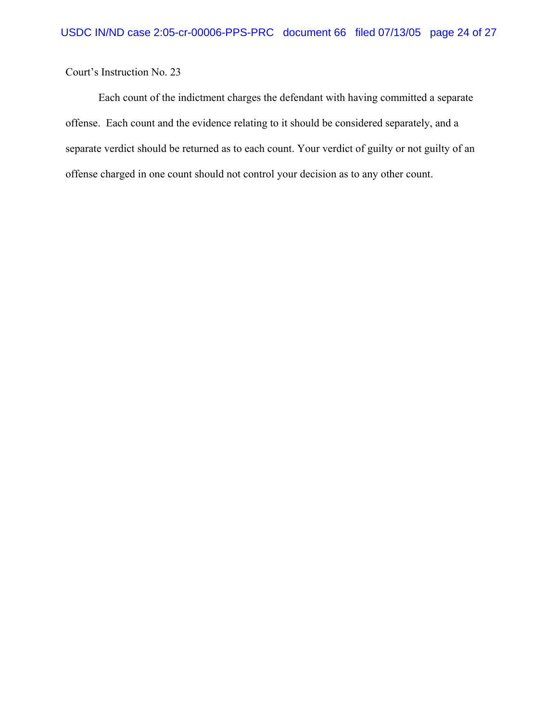Each count of the indictment charges the defendant with having committed a separate offense. Each count and the evidence relating to it should be considered separately, and a separate verdict should be returned as to each count. Your verdict of guilty or not guilty of an offense charged in one count should not control your decision as to any other count.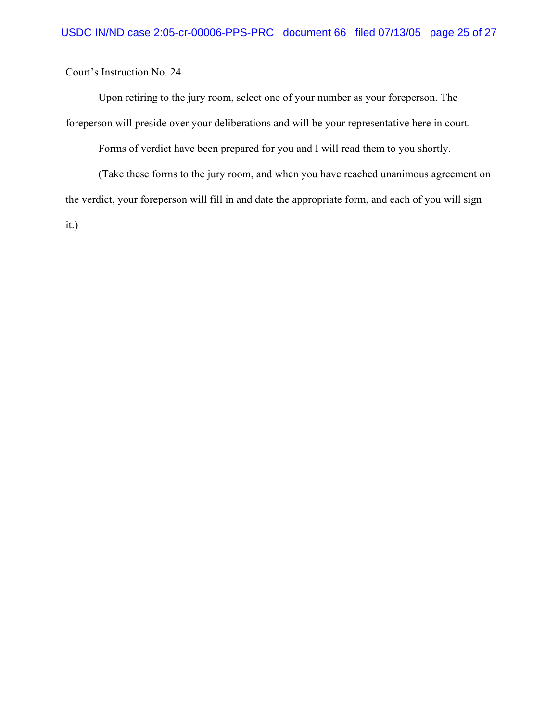Upon retiring to the jury room, select one of your number as your foreperson. The foreperson will preside over your deliberations and will be your representative here in court.

Forms of verdict have been prepared for you and I will read them to you shortly.

(Take these forms to the jury room, and when you have reached unanimous agreement on the verdict, your foreperson will fill in and date the appropriate form, and each of you will sign it.)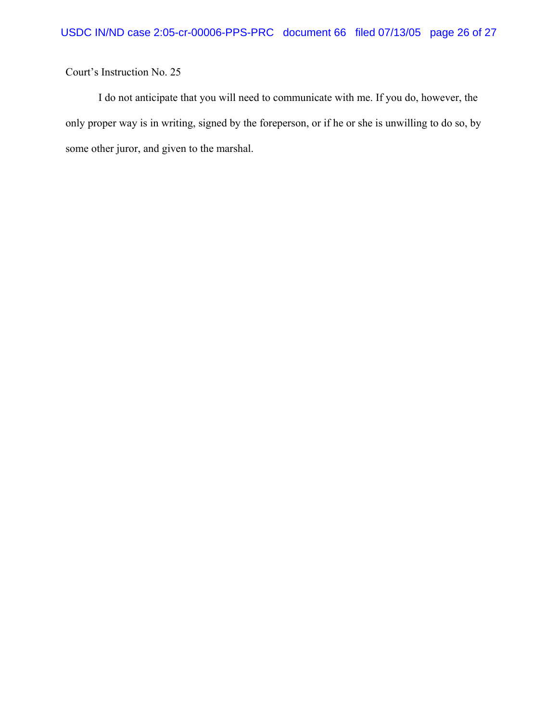I do not anticipate that you will need to communicate with me. If you do, however, the only proper way is in writing, signed by the foreperson, or if he or she is unwilling to do so, by some other juror, and given to the marshal.